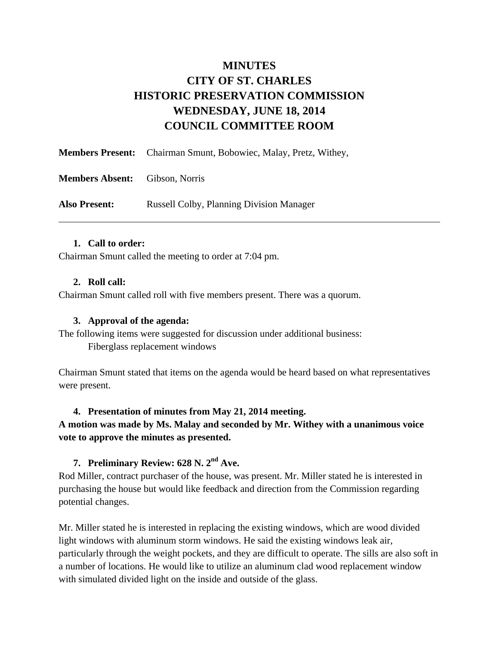# **MINUTES CITY OF ST. CHARLES HISTORIC PRESERVATION COMMISSION WEDNESDAY, JUNE 18, 2014 COUNCIL COMMITTEE ROOM**

|                                       | <b>Members Present:</b> Chairman Smunt, Bobowiec, Malay, Pretz, Withey, |
|---------------------------------------|-------------------------------------------------------------------------|
| <b>Members Absent:</b> Gibson, Norris |                                                                         |
| <b>Also Present:</b>                  | <b>Russell Colby, Planning Division Manager</b>                         |

#### **1. Call to order:**

Chairman Smunt called the meeting to order at 7:04 pm.

#### **2. Roll call:**

Chairman Smunt called roll with five members present. There was a quorum.

#### **3. Approval of the agenda:**

The following items were suggested for discussion under additional business: Fiberglass replacement windows

Chairman Smunt stated that items on the agenda would be heard based on what representatives were present.

#### **4. Presentation of minutes from May 21, 2014 meeting.**

**A motion was made by Ms. Malay and seconded by Mr. Withey with a unanimous voice vote to approve the minutes as presented.** 

# **7. Preliminary Review: 628 N. 2nd Ave.**

Rod Miller, contract purchaser of the house, was present. Mr. Miller stated he is interested in purchasing the house but would like feedback and direction from the Commission regarding potential changes.

Mr. Miller stated he is interested in replacing the existing windows, which are wood divided light windows with aluminum storm windows. He said the existing windows leak air, particularly through the weight pockets, and they are difficult to operate. The sills are also soft in a number of locations. He would like to utilize an aluminum clad wood replacement window with simulated divided light on the inside and outside of the glass.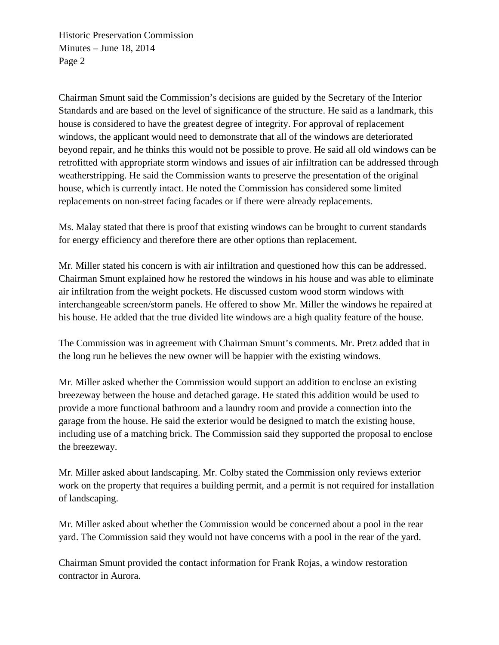Historic Preservation Commission Minutes – June 18, 2014 Page 2

Chairman Smunt said the Commission's decisions are guided by the Secretary of the Interior Standards and are based on the level of significance of the structure. He said as a landmark, this house is considered to have the greatest degree of integrity. For approval of replacement windows, the applicant would need to demonstrate that all of the windows are deteriorated beyond repair, and he thinks this would not be possible to prove. He said all old windows can be retrofitted with appropriate storm windows and issues of air infiltration can be addressed through weatherstripping. He said the Commission wants to preserve the presentation of the original house, which is currently intact. He noted the Commission has considered some limited replacements on non-street facing facades or if there were already replacements.

Ms. Malay stated that there is proof that existing windows can be brought to current standards for energy efficiency and therefore there are other options than replacement.

Mr. Miller stated his concern is with air infiltration and questioned how this can be addressed. Chairman Smunt explained how he restored the windows in his house and was able to eliminate air infiltration from the weight pockets. He discussed custom wood storm windows with interchangeable screen/storm panels. He offered to show Mr. Miller the windows he repaired at his house. He added that the true divided lite windows are a high quality feature of the house.

The Commission was in agreement with Chairman Smunt's comments. Mr. Pretz added that in the long run he believes the new owner will be happier with the existing windows.

Mr. Miller asked whether the Commission would support an addition to enclose an existing breezeway between the house and detached garage. He stated this addition would be used to provide a more functional bathroom and a laundry room and provide a connection into the garage from the house. He said the exterior would be designed to match the existing house, including use of a matching brick. The Commission said they supported the proposal to enclose the breezeway.

Mr. Miller asked about landscaping. Mr. Colby stated the Commission only reviews exterior work on the property that requires a building permit, and a permit is not required for installation of landscaping.

Mr. Miller asked about whether the Commission would be concerned about a pool in the rear yard. The Commission said they would not have concerns with a pool in the rear of the yard.

Chairman Smunt provided the contact information for Frank Rojas, a window restoration contractor in Aurora.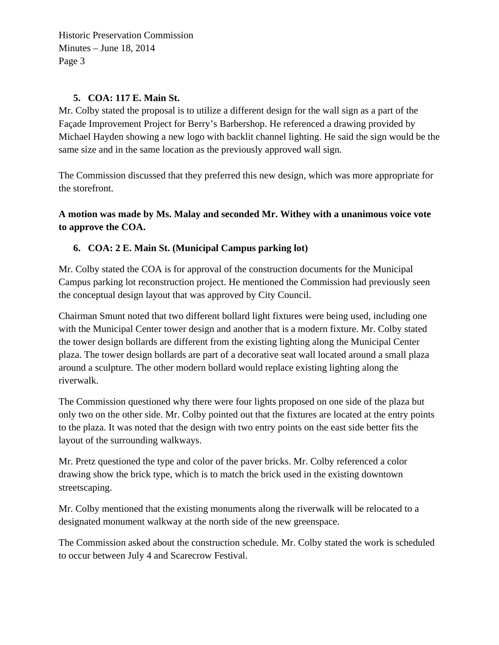Historic Preservation Commission Minutes – June 18, 2014 Page 3

### **5. COA: 117 E. Main St.**

Mr. Colby stated the proposal is to utilize a different design for the wall sign as a part of the Façade Improvement Project for Berry's Barbershop. He referenced a drawing provided by Michael Hayden showing a new logo with backlit channel lighting. He said the sign would be the same size and in the same location as the previously approved wall sign.

The Commission discussed that they preferred this new design, which was more appropriate for the storefront.

**A motion was made by Ms. Malay and seconded Mr. Withey with a unanimous voice vote to approve the COA.** 

## **6. COA: 2 E. Main St. (Municipal Campus parking lot)**

Mr. Colby stated the COA is for approval of the construction documents for the Municipal Campus parking lot reconstruction project. He mentioned the Commission had previously seen the conceptual design layout that was approved by City Council.

Chairman Smunt noted that two different bollard light fixtures were being used, including one with the Municipal Center tower design and another that is a modern fixture. Mr. Colby stated the tower design bollards are different from the existing lighting along the Municipal Center plaza. The tower design bollards are part of a decorative seat wall located around a small plaza around a sculpture. The other modern bollard would replace existing lighting along the riverwalk.

The Commission questioned why there were four lights proposed on one side of the plaza but only two on the other side. Mr. Colby pointed out that the fixtures are located at the entry points to the plaza. It was noted that the design with two entry points on the east side better fits the layout of the surrounding walkways.

Mr. Pretz questioned the type and color of the paver bricks. Mr. Colby referenced a color drawing show the brick type, which is to match the brick used in the existing downtown streetscaping.

Mr. Colby mentioned that the existing monuments along the riverwalk will be relocated to a designated monument walkway at the north side of the new greenspace.

The Commission asked about the construction schedule. Mr. Colby stated the work is scheduled to occur between July 4 and Scarecrow Festival.